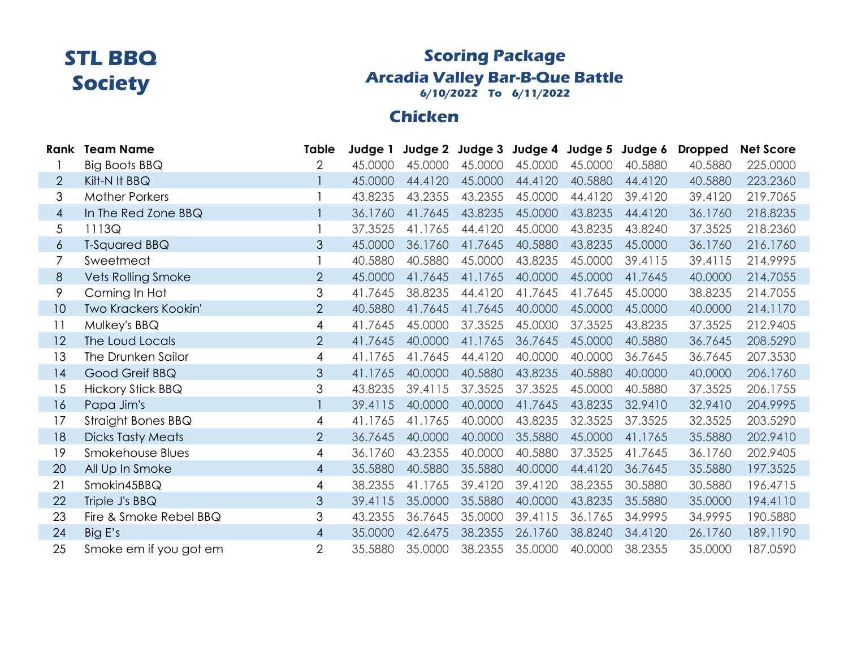### **Scoring Package Arcadia Valley Bar-B-Que Battle 6/10/2022 To 6/11/2022**

# **Chicken**

| Rank | <b>Team Name</b>          | Table          | Judge 1 |         | Judge 2 Judge 3 Judge 4 Judge 5 Judge 6 |         |         |         | <b>Dropped</b> | <b>Net Score</b> |
|------|---------------------------|----------------|---------|---------|-----------------------------------------|---------|---------|---------|----------------|------------------|
|      | Big Boots BBQ             | 2              | 45,0000 | 45.0000 | 45.0000                                 | 45.0000 | 45.0000 | 40.5880 | 40.5880        | 225.0000         |
| 2    | Kilt-N It BBQ             |                | 45.0000 | 44.4120 | 45.0000                                 | 44.4120 | 40.5880 | 44.4120 | 40.5880        | 223.2360         |
| 3    | <b>Mother Porkers</b>     |                | 43.8235 | 43.2355 | 43.2355                                 | 45.0000 | 44.4120 | 39.4120 | 39.4120        | 219.7065         |
| 4    | In The Red Zone BBQ       |                | 36.1760 | 41.7645 | 43.8235                                 | 45.0000 | 43.8235 | 44.4120 | 36.1760        | 218.8235         |
| 5    | 1113Q                     |                | 37.3525 | 41.1765 | 44.4120                                 | 45.0000 | 43.8235 | 43.8240 | 37.3525        | 218.2360         |
| 6    | T-Squared BBQ             | 3              | 45.0000 | 36.1760 | 41.7645                                 | 40.5880 | 43.8235 | 45.0000 | 36.1760        | 216.1760         |
| 7    | Sweetmeat                 |                | 40.5880 | 40.5880 | 45.0000                                 | 43.8235 | 45.0000 | 39.4115 | 39.4115        | 214.9995         |
| 8    | <b>Vets Rolling Smoke</b> | $\overline{2}$ | 45.0000 | 41.7645 | 41.1765                                 | 40.0000 | 45.0000 | 41.7645 | 40.0000        | 214.7055         |
| 9    | Coming In Hot             | 3              | 41.7645 | 38.8235 | 44.4120                                 | 41.7645 | 41.7645 | 45.0000 | 38.8235        | 214.7055         |
| 10   | Two Krackers Kookin'      | $\overline{2}$ | 40.5880 | 41.7645 | 41.7645                                 | 40.0000 | 45.0000 | 45.0000 | 40.0000        | 214.1170         |
| 11   | Mulkey's BBQ              | 4              | 41.7645 | 45.0000 | 37.3525                                 | 45.0000 | 37.3525 | 43.8235 | 37.3525        | 212.9405         |
| 12   | The Loud Locals           | $\overline{2}$ | 41.7645 | 40.0000 | 41.1765                                 | 36.7645 | 45.0000 | 40.5880 | 36.7645        | 208.5290         |
| 13   | The Drunken Sailor        | 4              | 41.1765 | 41.7645 | 44.4120                                 | 40.0000 | 40.0000 | 36.7645 | 36.7645        | 207.3530         |
| 14   | Good Greif BBQ            | 3              | 41.1765 | 40.0000 | 40.5880                                 | 43.8235 | 40.5880 | 40.0000 | 40.0000        | 206.1760         |
| 15   | <b>Hickory Stick BBQ</b>  | 3              | 43.8235 | 39.4115 | 37.3525                                 | 37.3525 | 45.0000 | 40.5880 | 37.3525        | 206.1755         |
| 16   | Papa Jim's                |                | 39.4115 | 40.0000 | 40.0000                                 | 41.7645 | 43.8235 | 32.9410 | 32.9410        | 204.9995         |
| 17   | Straight Bones BBQ        | 4              | 41.1765 | 41.1765 | 40.0000                                 | 43.8235 | 32.3525 | 37.3525 | 32.3525        | 203.5290         |
| 18   | <b>Dicks Tasty Meats</b>  | $\overline{2}$ | 36.7645 | 40.0000 | 40.0000                                 | 35.5880 | 45.0000 | 41.1765 | 35.5880        | 202.9410         |
| 19   | Smokehouse Blues          | 4              | 36.1760 | 43.2355 | 40.0000                                 | 40.5880 | 37.3525 | 41.7645 | 36.1760        | 202.9405         |
| 20   | All Up In Smoke           | 4              | 35.5880 | 40.5880 | 35.5880                                 | 40.0000 | 44.4120 | 36.7645 | 35.5880        | 197.3525         |
| 21   | Smokin45BBQ               | 4              | 38.2355 | 41.1765 | 39.4120                                 | 39.4120 | 38.2355 | 30.5880 | 30.5880        | 196.4715         |
| 22   | Triple J's BBQ            | 3              | 39.4115 | 35.0000 | 35.5880                                 | 40.0000 | 43.8235 | 35.5880 | 35.0000        | 194.4110         |
| 23   | Fire & Smoke Rebel BBQ    | 3              | 43.2355 | 36.7645 | 35.0000                                 | 39.4115 | 36.1765 | 34.9995 | 34.9995        | 190.5880         |
| 24   | Big E's                   | 4              | 35.0000 | 42.6475 | 38.2355                                 | 26.1760 | 38.8240 | 34.4120 | 26.1760        | 189.1190         |
| 25   | Smoke em if you got em    | $\overline{2}$ | 35.5880 | 35.0000 | 38.2355                                 | 35.0000 | 40.0000 | 38.2355 | 35.0000        | 187.0590         |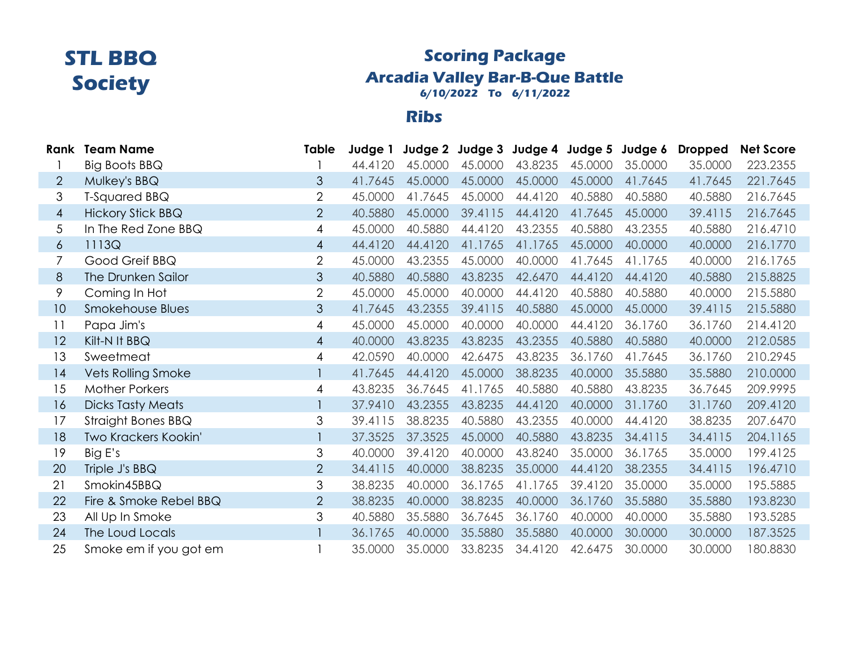## **Scoring Package Arcadia Valley Bar-B-Que Battle 6/10/2022 To 6/11/2022**

#### **Ribs**

|                | <b>Rank Team Name</b>     | Table          | Judge 1 |         | Judge 2 Judge 3 Judge 4 Judge 5 Judge 6 |         |         |         | <b>Dropped</b> | <b>Net Score</b> |
|----------------|---------------------------|----------------|---------|---------|-----------------------------------------|---------|---------|---------|----------------|------------------|
|                | Big Boots BBQ             |                | 44.4120 | 45.0000 | 45.0000                                 | 43.8235 | 45.0000 | 35.0000 | 35.0000        | 223.2355         |
| 2              | Mulkey's BBQ              | 3              | 41.7645 | 45.0000 | 45.0000                                 | 45.0000 | 45.0000 | 41.7645 | 41.7645        | 221.7645         |
| 3              | T-Squared BBQ             | $\overline{2}$ | 45.0000 | 41.7645 | 45.0000                                 | 44.4120 | 40.5880 | 40.5880 | 40.5880        | 216.7645         |
| 4              | <b>Hickory Stick BBQ</b>  | $\overline{2}$ | 40.5880 | 45.0000 | 39.4115                                 | 44.4120 | 41.7645 | 45.0000 | 39.4115        | 216.7645         |
| 5              | In The Red Zone BBQ       | 4              | 45.0000 | 40.5880 | 44.4120                                 | 43.2355 | 40.5880 | 43.2355 | 40.5880        | 216.4710         |
| $\epsilon$     | 1113Q                     | $\overline{4}$ | 44.4120 | 44.4120 | 41.1765                                 | 41.1765 | 45.0000 | 40.0000 | 40.0000        | 216.1770         |
| $\overline{7}$ | Good Greif BBQ            | 2              | 45.0000 | 43.2355 | 45.0000                                 | 40.0000 | 41.7645 | 41.1765 | 40.0000        | 216.1765         |
| 8              | The Drunken Sailor        | 3              | 40.5880 | 40.5880 | 43.8235                                 | 42.6470 | 44.4120 | 44.4120 | 40.5880        | 215.8825         |
| 9              | Coming In Hot             | 2              | 45.0000 | 45.0000 | 40.0000                                 | 44.4120 | 40.5880 | 40.5880 | 40.0000        | 215.5880         |
| 10             | Smokehouse Blues          | $\mathfrak{Z}$ | 41.7645 | 43.2355 | 39.4115                                 | 40.5880 | 45.0000 | 45.0000 | 39.4115        | 215.5880         |
| 11             | Papa Jim's                | 4              | 45,0000 | 45,0000 | 40.0000                                 | 40.0000 | 44.4120 | 36.1760 | 36.1760        | 214.4120         |
| 12             | Kilt-N It BBQ             | $\overline{4}$ | 40.0000 | 43.8235 | 43.8235                                 | 43.2355 | 40.5880 | 40.5880 | 40.0000        | 212.0585         |
| 13             | Sweetmeat                 | 4              | 42.0590 | 40.0000 | 42.6475                                 | 43.8235 | 36.1760 | 41.7645 | 36.1760        | 210.2945         |
| 14             | <b>Vets Rolling Smoke</b> |                | 41.7645 | 44.4120 | 45.0000                                 | 38.8235 | 40.0000 | 35.5880 | 35.5880        | 210.0000         |
| 15             | <b>Mother Porkers</b>     | 4              | 43.8235 | 36.7645 | 41.1765                                 | 40.5880 | 40.5880 | 43.8235 | 36.7645        | 209.9995         |
| 16             | <b>Dicks Tasty Meats</b>  |                | 37.9410 | 43.2355 | 43.8235                                 | 44.4120 | 40.0000 | 31.1760 | 31.1760        | 209.4120         |
| 17             | Straight Bones BBQ        | 3              | 39.4115 | 38.8235 | 40.5880                                 | 43.2355 | 40.0000 | 44.4120 | 38.8235        | 207.6470         |
| 18             | Two Krackers Kookin'      |                | 37.3525 | 37.3525 | 45.0000                                 | 40.5880 | 43.8235 | 34.4115 | 34.4115        | 204.1165         |
| 19             | Big E's                   | 3              | 40.0000 | 39.4120 | 40.0000                                 | 43.8240 | 35.0000 | 36.1765 | 35.0000        | 199.4125         |
| 20             | Triple J's BBQ            | $\overline{2}$ | 34.4115 | 40.0000 | 38.8235                                 | 35.0000 | 44.4120 | 38.2355 | 34.4115        | 196.4710         |
| 21             | Smokin45BBQ               | 3              | 38.8235 | 40.0000 | 36.1765                                 | 41.1765 | 39.4120 | 35.0000 | 35.0000        | 195.5885         |
| 22             | Fire & Smoke Rebel BBQ    | $\overline{2}$ | 38.8235 | 40.0000 | 38.8235                                 | 40.0000 | 36.1760 | 35.5880 | 35.5880        | 193.8230         |
| 23             | All Up In Smoke           | 3              | 40.5880 | 35.5880 | 36.7645                                 | 36.1760 | 40.0000 | 40.0000 | 35.5880        | 193.5285         |
| 24             | The Loud Locals           |                | 36.1765 | 40.0000 | 35.5880                                 | 35.5880 | 40.0000 | 30.0000 | 30.0000        | 187.3525         |
| 25             | Smoke em if you got em    |                | 35,0000 | 35.0000 | 33.8235                                 | 34.4120 | 42.6475 | 30.0000 | 30.0000        | 180.8830         |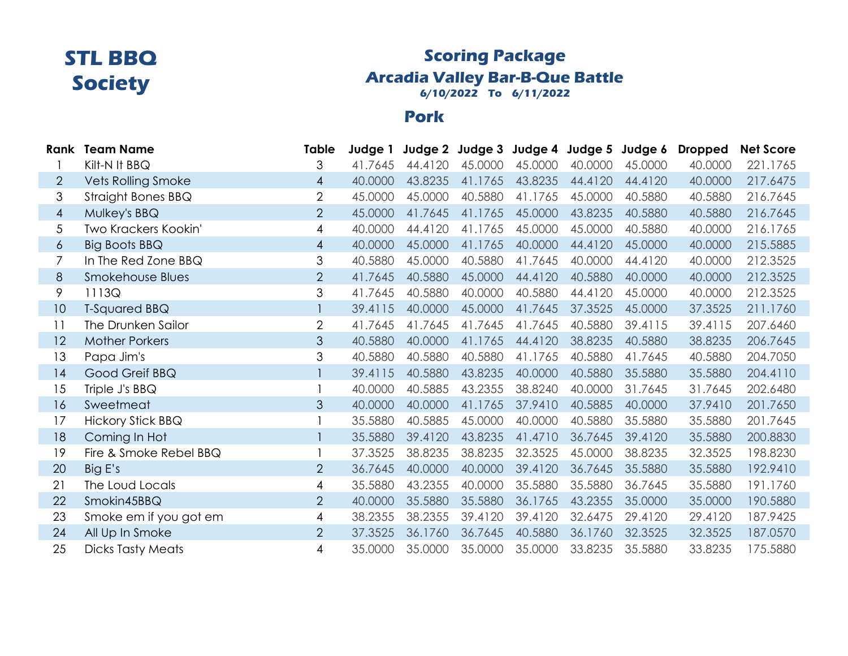## **Scoring Package Arcadia Valley Bar-B-Que Battle 6/10/2022 To 6/11/2022**

#### **Pork**

|                | <b>Rank Team Name</b>     | Table          | Judge 1 |         |         | Judge 2 Judge 3 Judge 4 Judge 5 Judge 6 |         |         | <b>Dropped</b> | <b>Net Score</b> |
|----------------|---------------------------|----------------|---------|---------|---------|-----------------------------------------|---------|---------|----------------|------------------|
|                | Kilt-N It BBQ             | 3              | 41.7645 | 44.4120 | 45.0000 | 45.0000                                 | 40.0000 | 45.0000 | 40.0000        | 221.1765         |
| $\overline{2}$ | <b>Vets Rolling Smoke</b> | $\overline{4}$ | 40.0000 | 43.8235 | 41.1765 | 43.8235                                 | 44.4120 | 44.4120 | 40.0000        | 217.6475         |
| 3              | Straight Bones BBQ        | $\overline{2}$ | 45.0000 | 45.0000 | 40.5880 | 41.1765                                 | 45.0000 | 40.5880 | 40.5880        | 216.7645         |
| 4              | Mulkey's BBQ              | $\overline{2}$ | 45.0000 | 41.7645 | 41.1765 | 45.0000                                 | 43.8235 | 40.5880 | 40.5880        | 216.7645         |
| 5              | Two Krackers Kookin'      | 4              | 40.0000 | 44.4120 | 41.1765 | 45.0000                                 | 45.0000 | 40.5880 | 40.0000        | 216.1765         |
| $\overline{6}$ | Big Boots BBQ             | $\overline{4}$ | 40.0000 | 45.0000 | 41.1765 | 40.0000                                 | 44.4120 | 45.0000 | 40.0000        | 215.5885         |
| $\overline{7}$ | In The Red Zone BBQ       | 3              | 40.5880 | 45.0000 | 40.5880 | 41.7645                                 | 40.0000 | 44.4120 | 40.0000        | 212.3525         |
| 8              | Smokehouse Blues          | $\overline{2}$ | 41.7645 | 40.5880 | 45.0000 | 44.4120                                 | 40.5880 | 40.0000 | 40.0000        | 212.3525         |
| 9              | 1113Q                     | 3              | 41.7645 | 40.5880 | 40.0000 | 40.5880                                 | 44.4120 | 45.0000 | 40.0000        | 212.3525         |
| 10             | <b>T-Squared BBQ</b>      |                | 39.4115 | 40.0000 | 45.0000 | 41.7645                                 | 37.3525 | 45.0000 | 37.3525        | 211.1760         |
| 11             | The Drunken Sailor        | $\overline{2}$ | 41.7645 | 41.7645 | 41.7645 | 41.7645                                 | 40.5880 | 39.4115 | 39.4115        | 207.6460         |
| 12             | <b>Mother Porkers</b>     | 3              | 40.5880 | 40.0000 | 41.1765 | 44.4120                                 | 38.8235 | 40.5880 | 38.8235        | 206.7645         |
| 13             | Papa Jim's                | 3              | 40.5880 | 40.5880 | 40.5880 | 41.1765                                 | 40.5880 | 41.7645 | 40.5880        | 204.7050         |
| 14             | Good Greif BBQ            |                | 39.4115 | 40.5880 | 43.8235 | 40.0000                                 | 40.5880 | 35.5880 | 35.5880        | 204.4110         |
| 15             | Triple J's BBQ            |                | 40.0000 | 40.5885 | 43.2355 | 38.8240                                 | 40.0000 | 31.7645 | 31.7645        | 202.6480         |
| 16             | Sweetmeat                 | 3              | 40.0000 | 40.0000 | 41.1765 | 37.9410                                 | 40.5885 | 40.0000 | 37.9410        | 201.7650         |
| 17             | <b>Hickory Stick BBQ</b>  |                | 35.5880 | 40.5885 | 45.0000 | 40.0000                                 | 40.5880 | 35.5880 | 35.5880        | 201.7645         |
| 18             | Coming In Hot             |                | 35.5880 | 39.4120 | 43.8235 | 41.4710                                 | 36.7645 | 39.4120 | 35.5880        | 200.8830         |
| 19             | Fire & Smoke Rebel BBQ    |                | 37.3525 | 38.8235 | 38.8235 | 32.3525                                 | 45.0000 | 38.8235 | 32.3525        | 198.8230         |
| 20             | Big E's                   | $\overline{2}$ | 36.7645 | 40.0000 | 40.0000 | 39.4120                                 | 36.7645 | 35.5880 | 35.5880        | 192.9410         |
| 21             | The Loud Locals           | 4              | 35.5880 | 43.2355 | 40.0000 | 35.5880                                 | 35.5880 | 36.7645 | 35.5880        | 191.1760         |
| 22             | Smokin45BBQ               | 2              | 40.0000 | 35.5880 | 35.5880 | 36.1765                                 | 43.2355 | 35.0000 | 35.0000        | 190.5880         |
| 23             | Smoke em if you got em    | 4              | 38.2355 | 38.2355 | 39.4120 | 39.4120                                 | 32.6475 | 29.4120 | 29.4120        | 187.9425         |
| 24             | All Up In Smoke           | $\overline{2}$ | 37.3525 | 36.1760 | 36.7645 | 40.5880                                 | 36.1760 | 32.3525 | 32.3525        | 187.0570         |
| 25             | <b>Dicks Tasty Meats</b>  | 4              | 35.0000 | 35.0000 | 35.0000 | 35.0000                                 | 33.8235 | 35.5880 | 33.8235        | 175.5880         |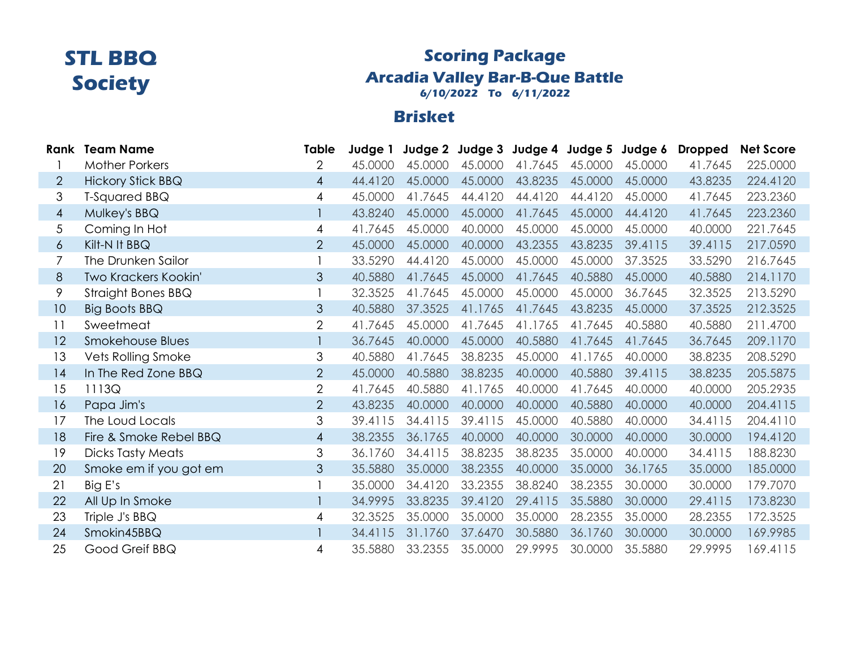### **Scoring Package Arcadia Valley Bar-B-Que Battle 6/10/2022 To 6/11/2022**

## **Brisket**

|                | <b>Rank Team Name</b>    | Table          | Judge 1 |         |         |         |         | Judge 2 Judge 3 Judge 4 Judge 5 Judge 6 | <b>Dropped</b> | <b>Net Score</b> |
|----------------|--------------------------|----------------|---------|---------|---------|---------|---------|-----------------------------------------|----------------|------------------|
|                | <b>Mother Porkers</b>    | 2              | 45.0000 | 45.0000 | 45.0000 | 41.7645 | 45.0000 | 45.0000                                 | 41.7645        | 225.0000         |
| $\overline{2}$ | <b>Hickory Stick BBQ</b> | $\overline{4}$ | 44.4120 | 45.0000 | 45.0000 | 43.8235 | 45.0000 | 45.0000                                 | 43.8235        | 224.4120         |
| 3              | T-Squared BBQ            | 4              | 45.0000 | 41.7645 | 44.4120 | 44.4120 | 44.4120 | 45.0000                                 | 41.7645        | 223.2360         |
| 4              | Mulkey's BBQ             |                | 43.8240 | 45.0000 | 45.0000 | 41.7645 | 45.0000 | 44.4120                                 | 41.7645        | 223.2360         |
| 5              | Coming In Hot            | 4              | 41.7645 | 45.0000 | 40.0000 | 45.0000 | 45.0000 | 45.0000                                 | 40.0000        | 221.7645         |
| $\overline{6}$ | Kilt-N It BBQ            | $\overline{2}$ | 45.0000 | 45,0000 | 40.0000 | 43.2355 | 43.8235 | 39.4115                                 | 39.4115        | 217.0590         |
| 7              | The Drunken Sailor       |                | 33.5290 | 44.4120 | 45.0000 | 45.0000 | 45.0000 | 37.3525                                 | 33.5290        | 216.7645         |
| 8              | Two Krackers Kookin'     | 3              | 40.5880 | 41.7645 | 45.0000 | 41.7645 | 40.5880 | 45.0000                                 | 40.5880        | 214.1170         |
| 9              | Straight Bones BBQ       |                | 32.3525 | 41.7645 | 45.0000 | 45.0000 | 45.0000 | 36.7645                                 | 32.3525        | 213.5290         |
| 10             | Big Boots BBQ            | 3              | 40.5880 | 37.3525 | 41.1765 | 41.7645 | 43.8235 | 45.0000                                 | 37.3525        | 212.3525         |
| 11             | Sweetmeat                | $\overline{2}$ | 41.7645 | 45.0000 | 41.7645 | 41.1765 | 41.7645 | 40.5880                                 | 40.5880        | 211.4700         |
| 12             | Smokehouse Blues         |                | 36.7645 | 40.0000 | 45.0000 | 40.5880 | 41.7645 | 41.7645                                 | 36.7645        | 209.1170         |
| 13             | Vets Rolling Smoke       | 3              | 40.5880 | 41.7645 | 38.8235 | 45.0000 | 41.1765 | 40.0000                                 | 38.8235        | 208.5290         |
| 14             | In The Red Zone BBQ      | $\overline{2}$ | 45.0000 | 40.5880 | 38.8235 | 40.0000 | 40.5880 | 39.4115                                 | 38.8235        | 205.5875         |
| 15             | 1113Q                    | $\overline{2}$ | 41.7645 | 40.5880 | 41.1765 | 40.0000 | 41.7645 | 40,0000                                 | 40.0000        | 205.2935         |
| 16             | Papa Jim's               | $\overline{2}$ | 43.8235 | 40.0000 | 40.0000 | 40.0000 | 40.5880 | 40.0000                                 | 40.0000        | 204.4115         |
| 17             | The Loud Locals          | 3              | 39.4115 | 34.4115 | 39.4115 | 45.0000 | 40.5880 | 40.0000                                 | 34.4115        | 204.4110         |
| 18             | Fire & Smoke Rebel BBQ   | $\overline{4}$ | 38.2355 | 36.1765 | 40.0000 | 40.0000 | 30.0000 | 40.0000                                 | 30.0000        | 194.4120         |
| 19             | <b>Dicks Tasty Meats</b> | 3              | 36.1760 | 34.4115 | 38.8235 | 38.8235 | 35.0000 | 40.0000                                 | 34.4115        | 188.8230         |
| 20             | Smoke em if you got em   | 3              | 35.5880 | 35.0000 | 38.2355 | 40.0000 | 35.0000 | 36.1765                                 | 35.0000        | 185.0000         |
| 21             | Big E's                  |                | 35.0000 | 34.4120 | 33.2355 | 38.8240 | 38.2355 | 30.0000                                 | 30.0000        | 179.7070         |
| 22             | All Up In Smoke          |                | 34.9995 | 33.8235 | 39.4120 | 29.4115 | 35.5880 | 30.0000                                 | 29.4115        | 173.8230         |
| 23             | Triple J's BBQ           | 4              | 32.3525 | 35.0000 | 35.0000 | 35.0000 | 28.2355 | 35.0000                                 | 28.2355        | 172.3525         |
| 24             | Smokin45BBQ              |                | 34.4115 | 31.1760 | 37.6470 | 30.5880 | 36.1760 | 30.0000                                 | 30.0000        | 169.9985         |
| 25             | Good Greif BBQ           | 4              | 35.5880 | 33.2355 | 35.0000 | 29.9995 | 30.0000 | 35.5880                                 | 29.9995        | 169.4115         |